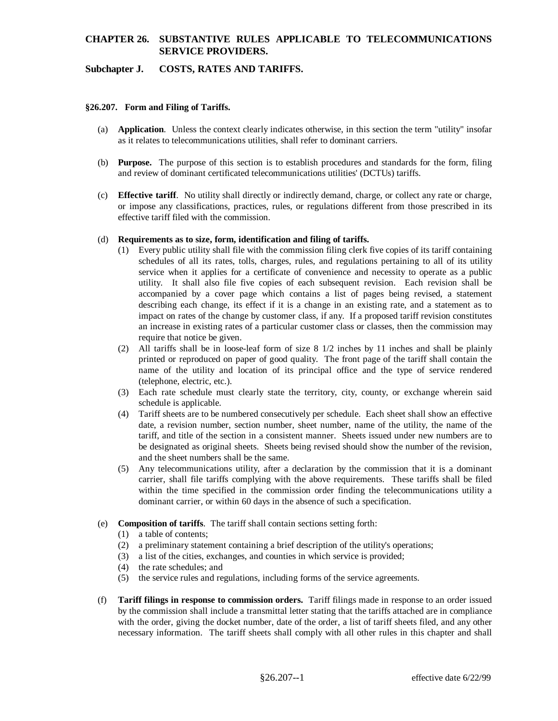## **CHAPTER 26. SUBSTANTIVE RULES APPLICABLE TO TELECOMMUNICATIONS SERVICE PROVIDERS.**

### **Subchapter J. COSTS, RATES AND TARIFFS.**

#### **§26.207. Form and Filing of Tariffs.**

- (a) **Application**. Unless the context clearly indicates otherwise, in this section the term "utility" insofar as it relates to telecommunications utilities, shall refer to dominant carriers.
- (b) **Purpose.** The purpose of this section is to establish procedures and standards for the form, filing and review of dominant certificated telecommunications utilities' (DCTUs) tariffs.
- (c) **Effective tariff**. No utility shall directly or indirectly demand, charge, or collect any rate or charge, or impose any classifications, practices, rules, or regulations different from those prescribed in its effective tariff filed with the commission.

#### (d) **Requirements as to size, form, identification and filing of tariffs.**

- (1) Every public utility shall file with the commission filing clerk five copies of its tariff containing schedules of all its rates, tolls, charges, rules, and regulations pertaining to all of its utility service when it applies for a certificate of convenience and necessity to operate as a public utility. It shall also file five copies of each subsequent revision. Each revision shall be accompanied by a cover page which contains a list of pages being revised, a statement describing each change, its effect if it is a change in an existing rate, and a statement as to impact on rates of the change by customer class, if any. If a proposed tariff revision constitutes an increase in existing rates of a particular customer class or classes, then the commission may require that notice be given.
- (2) All tariffs shall be in loose-leaf form of size 8 1/2 inches by 11 inches and shall be plainly printed or reproduced on paper of good quality. The front page of the tariff shall contain the name of the utility and location of its principal office and the type of service rendered (telephone, electric, etc.).
- (3) Each rate schedule must clearly state the territory, city, county, or exchange wherein said schedule is applicable.
- (4) Tariff sheets are to be numbered consecutively per schedule. Each sheet shall show an effective date, a revision number, section number, sheet number, name of the utility, the name of the tariff, and title of the section in a consistent manner. Sheets issued under new numbers are to be designated as original sheets. Sheets being revised should show the number of the revision, and the sheet numbers shall be the same.
- (5) Any telecommunications utility, after a declaration by the commission that it is a dominant carrier, shall file tariffs complying with the above requirements. These tariffs shall be filed within the time specified in the commission order finding the telecommunications utility a dominant carrier, or within 60 days in the absence of such a specification.
- (e) **Composition of tariffs**. The tariff shall contain sections setting forth:
	- (1) a table of contents;
	- (2) a preliminary statement containing a brief description of the utility's operations;
	- (3) a list of the cities, exchanges, and counties in which service is provided;
	- (4) the rate schedules; and
	- (5) the service rules and regulations, including forms of the service agreements.
- (f) **Tariff filings in response to commission orders.** Tariff filings made in response to an order issued by the commission shall include a transmittal letter stating that the tariffs attached are in compliance with the order, giving the docket number, date of the order, a list of tariff sheets filed, and any other necessary information. The tariff sheets shall comply with all other rules in this chapter and shall